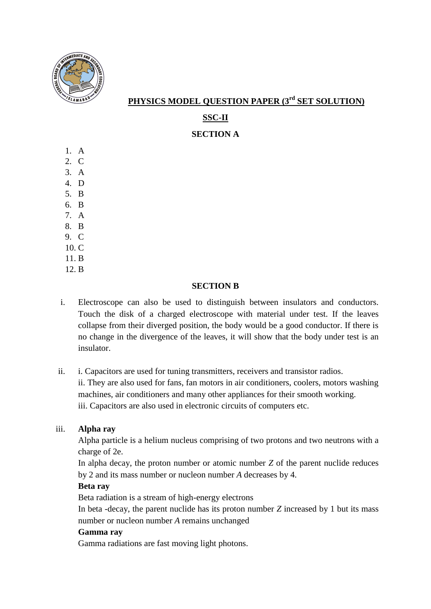

 **PHYSICS MODEL QUESTION PAPER (3rd SET SOLUTION)**

# **SSC-II**

**SECTION A**

- 1. A
- 2. C
- 3. A 4. D
- 5. B
- 6. B
- 7. A
- 8. B
- 9. C
- 10. C
- 11. B
- 12. B

# **SECTION B**

- i. Electroscope can also be used to distinguish between insulators and conductors. Touch the disk of a charged electroscope with material under test. If the leaves collapse from their diverged position, the body would be a good conductor. If there is no change in the divergence of the leaves, it will show that the body under test is an insulator.
- ii. i. Capacitors are used for tuning transmitters, receivers and transistor radios. ii. They are also used for fans, fan motors in air conditioners, coolers, motors washing machines, air conditioners and many other appliances for their smooth working. iii. Capacitors are also used in electronic circuits of computers etc.

# iii. **Alpha ray**

Alpha particle is a helium nucleus comprising of two protons and two neutrons with a charge of 2e.

In alpha decay, the proton number or atomic number *Z* of the parent nuclide reduces by 2 and its mass number or nucleon number *A* decreases by 4.

# **Beta ray**

Beta radiation is a stream of high-energy electrons

In beta -decay, the parent nuclide has its proton number *Z* increased by 1 but its mass number or nucleon number *A* remains unchanged

# **Gamma ray**

Gamma radiations are fast moving light photons.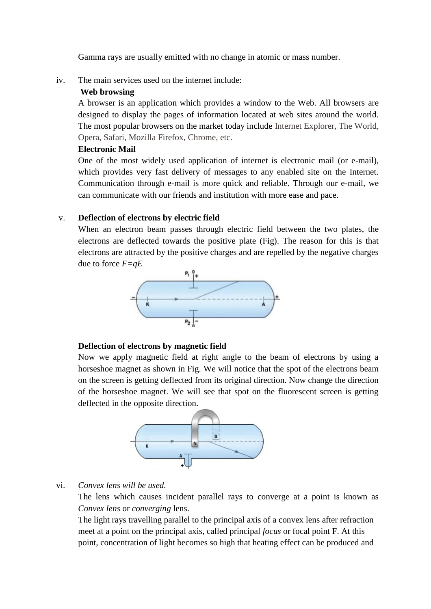Gamma rays are usually emitted with no change in atomic or mass number.

iv. The main services used on the internet include:

## **Web browsing**

A browser is an application which provides a window to the Web. All browsers are designed to display the pages of information located at web sites around the world. The most popular browsers on the market today include Internet Explorer, The World, Opera, Safari, Mozilla Firefox, Chrome, etc.

## **Electronic Mail**

One of the most widely used application of internet is electronic mail (or e-mail), which provides very fast delivery of messages to any enabled site on the Internet. Communication through e-mail is more quick and reliable. Through our e-mail, we can communicate with our friends and institution with more ease and pace.

## v. **Deflection of electrons by electric field**

When an electron beam passes through electric field between the two plates, the electrons are deflected towards the positive plate (Fig). The reason for this is that electrons are attracted by the positive charges and are repelled by the negative charges due to force *F=qE*



# **Deflection of electrons by magnetic field**

Now we apply magnetic field at right angle to the beam of electrons by using a horseshoe magnet as shown in Fig. We will notice that the spot of the electrons beam on the screen is getting deflected from its original direction. Now change the direction of the horseshoe magnet. We will see that spot on the fluorescent screen is getting deflected in the opposite direction.



# vi. *Convex lens will be used.*

The lens which causes incident parallel rays to converge at a point is known as *Convex lens* or *converging* lens.

The light rays travelling parallel to the principal axis of a convex lens after refraction meet at a point on the principal axis, called principal *focus* or focal point F. At this point, concentration of light becomes so high that heating effect can be produced and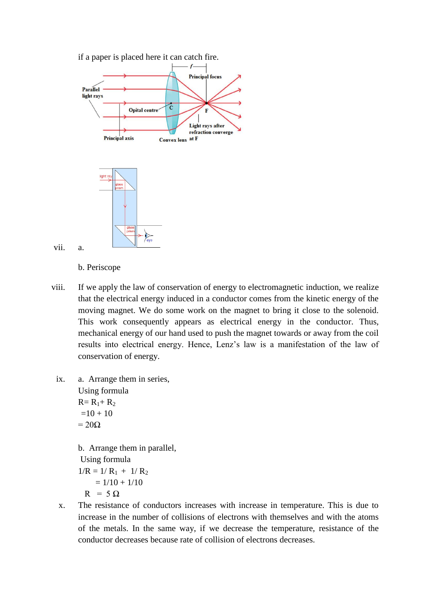



vii. a.

b. Periscope

- viii. If we apply the law of conservation of energy to electromagnetic induction, we realize that the electrical energy induced in a conductor comes from the kinetic energy of the moving magnet. We do some work on the magnet to bring it close to the solenoid. This work consequently appears as electrical energy in the conductor. Thus, mechanical energy of our hand used to push the magnet towards or away from the coil results into electrical energy. Hence, Lenz's law is a manifestation of the law of conservation of energy.
- ix. a. Arrange them in series, Using formula  $R = R_1 + R_2$  $=10 + 10$  $= 20\Omega$ b. Arrange them in parallel,

Using formula  $1/R = 1/R_1 + 1/R_2$  $= 1/10 + 1/10$  $R = 5 \Omega$ 

x. The resistance of conductors increases with increase in temperature. This is due to increase in the number of collisions of electrons with themselves and with the atoms of the metals. In the same way, if we decrease the temperature, resistance of the conductor decreases because rate of collision of electrons decreases.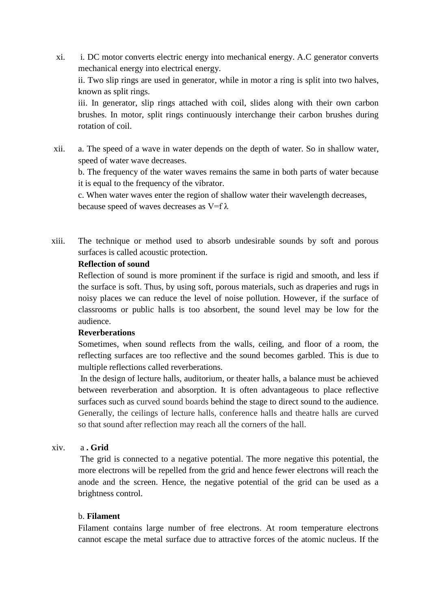- xi. i. DC motor converts electric energy into mechanical energy. A.C generator converts mechanical energy into electrical energy. ii. Two slip rings are used in generator, while in motor a ring is split into two halves, known as split rings. iii. In generator, slip rings attached with coil, slides along with their own carbon brushes. In motor, split rings continuously interchange their carbon brushes during rotation of coil.
- xii. a. The speed of a wave in water depends on the depth of water. So in shallow water, speed of water wave decreases.

b. The frequency of the water waves remains the same in both parts of water because it is equal to the frequency of the vibrator.

c. When water waves enter the region of shallow water their wavelength decreases, because speed of waves decreases as  $V=f \lambda$ 

xiii. The technique or method used to absorb undesirable sounds by soft and porous surfaces is called acoustic protection.

#### **Reflection of sound**

Reflection of sound is more prominent if the surface is rigid and smooth, and less if the surface is soft. Thus, by using soft, porous materials, such as draperies and rugs in noisy places we can reduce the level of noise pollution. However, if the surface of classrooms or public halls is too absorbent, the sound level may be low for the audience.

# **Reverberations**

Sometimes, when sound reflects from the walls, ceiling, and floor of a room, the reflecting surfaces are too reflective and the sound becomes garbled. This is due to multiple reflections called reverberations.

In the design of lecture halls, auditorium, or theater halls, a balance must be achieved between reverberation and absorption. It is often advantageous to place reflective surfaces such as curved sound boards behind the stage to direct sound to the audience. Generally, the ceilings of lecture halls, conference halls and theatre halls are curved so that sound after reflection may reach all the corners of the hall.

# xiv. a **. Grid**

The grid is connected to a negative potential. The more negative this potential, the more electrons will be repelled from the grid and hence fewer electrons will reach the anode and the screen. Hence, the negative potential of the grid can be used as a brightness control.

#### b. **Filament**

Filament contains large number of free electrons. At room temperature electrons cannot escape the metal surface due to attractive forces of the atomic nucleus. If the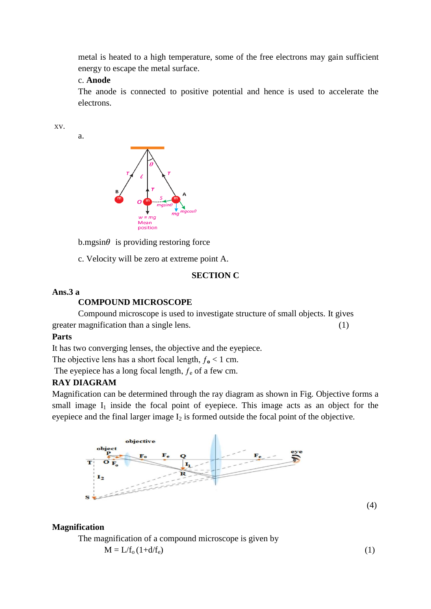metal is heated to a high temperature, some of the free electrons may gain sufficient energy to escape the metal surface.

## c. **Anode**

The anode is connected to positive potential and hence is used to accelerate the electrons.

xv.

a.



 $b$ .mgsin $\theta$  is providing restoring force

c. Velocity will be zero at extreme point A.

### **SECTION C**

#### **Ans.3 a**

#### **COMPOUND MICROSCOPE**

Compound microscope is used to investigate structure of small objects. It gives greater magnification than a single lens. (1)

#### **Parts**

It has two converging lenses, the objective and the eyepiece.

The objective lens has a short focal length,  $f_0 < 1$  cm.

The eyepiece has a long focal length,  $f_e$  of a few cm.

#### **RAY DIAGRAM**

Magnification can be determined through the ray diagram as shown in Fig. Objective forms a small image  $I_1$  inside the focal point of eyepiece. This image acts as an object for the eyepiece and the final larger image  $I_2$  is formed outside the focal point of the objective.



(4)

## **Magnification**

The magnification of a compound microscope is given by

 $M = L/f_0(1+d/f_e)$  (1)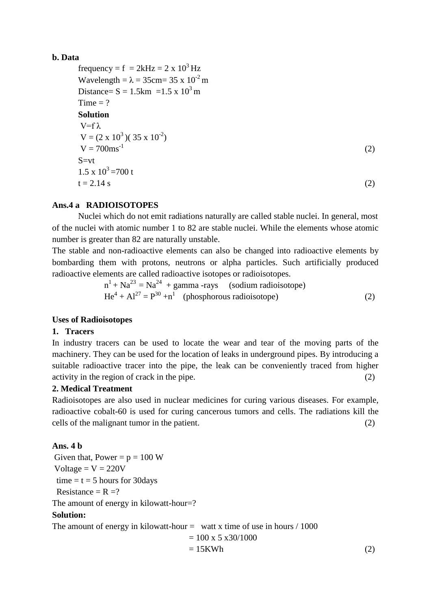## **b. Data**

```
frequency = f = 2kHz = 2 x 10^3 Hz
Wavelength = \lambda = 35cm= 35 x 10<sup>-2</sup> m
Distance= S = 1.5km = 1.5 \times 10^3 mTime = ?Solution
V=fλ
V = (2 \times 10^3)(35 \times 10^{-2})V = 700 ms<sup>-1</sup>
                                                                          (2)
S=vt1.5 \times 10^3 = 700 t
t = 2.14 s (2)
```
# **Ans.4 a RADIOISOTOPES**

Nuclei which do not emit radiations naturally are called stable nuclei. In general, most of the nuclei with atomic number 1 to 82 are stable nuclei. While the elements whose atomic number is greater than 82 are naturally unstable.

The stable and non-radioactive elements can also be changed into radioactive elements by bombarding them with protons, neutrons or alpha particles. Such artificially produced radioactive elements are called radioactive isotopes or radioisotopes.

$$
n1 + Na23 = Na24 + gamma-rays (sodium radioisotope)
$$
  
He<sup>4</sup> + Al<sup>27</sup> = P<sup>30</sup> + n<sup>1</sup> (phosphorous radioisotope) (2)

#### **Uses of Radioisotopes**

#### **1. Tracers**

In industry tracers can be used to locate the wear and tear of the moving parts of the machinery. They can be used for the location of leaks in underground pipes. By introducing a suitable radioactive tracer into the pipe, the leak can be conveniently traced from higher activity in the region of crack in the pipe. (2)

#### **2. Medical Treatment**

Radioisotopes are also used in nuclear medicines for curing various diseases. For example, radioactive cobalt-60 is used for curing cancerous tumors and cells. The radiations kill the cells of the malignant tumor in the patient. (2)

# **Ans. 4 b**

Given that, Power =  $p = 100$  W Voltage  $=$  V  $=$  220V time  $=$  t  $=$  5 hours for 30 days Resistance =  $R = ?$ The amount of energy in kilowatt-hour=? **Solution:** The amount of energy in kilowatt-hour  $=$  watt x time of use in hours / 1000  $= 100 \times 5 \times 30/1000$  $= 15KWh$  (2)